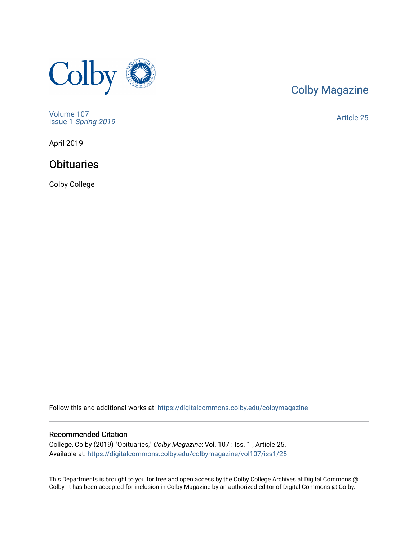

## [Colby Magazine](https://digitalcommons.colby.edu/colbymagazine)

[Volume 107](https://digitalcommons.colby.edu/colbymagazine/vol107) Issue 1 [Spring 2019](https://digitalcommons.colby.edu/colbymagazine/vol107/iss1) 

[Article 25](https://digitalcommons.colby.edu/colbymagazine/vol107/iss1/25) 

April 2019

### **Obituaries**

Colby College

Follow this and additional works at: [https://digitalcommons.colby.edu/colbymagazine](https://digitalcommons.colby.edu/colbymagazine?utm_source=digitalcommons.colby.edu%2Fcolbymagazine%2Fvol107%2Fiss1%2F25&utm_medium=PDF&utm_campaign=PDFCoverPages)

#### Recommended Citation

College, Colby (2019) "Obituaries," Colby Magazine: Vol. 107 : Iss. 1 , Article 25. Available at: [https://digitalcommons.colby.edu/colbymagazine/vol107/iss1/25](https://digitalcommons.colby.edu/colbymagazine/vol107/iss1/25?utm_source=digitalcommons.colby.edu%2Fcolbymagazine%2Fvol107%2Fiss1%2F25&utm_medium=PDF&utm_campaign=PDFCoverPages)

This Departments is brought to you for free and open access by the Colby College Archives at Digital Commons @ Colby. It has been accepted for inclusion in Colby Magazine by an authorized editor of Digital Commons @ Colby.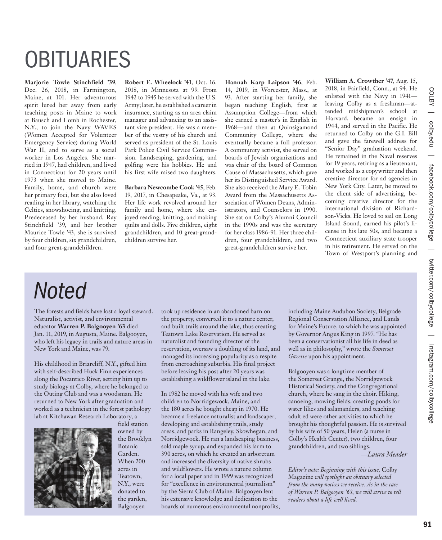# **OBITUARIES**

**Marjorie Towle Stinchfield '39**, Dec. 26, 2018, in Farmington, Maine, at 101. Her adventurous spirit lured her away from early teaching posts in Maine to work at Bausch and Lomb in Rochester, N.Y., to join the Navy WAVES (Women Accepted for Volunteer Emergency Service) during World War II, and to serve as a social worker in Los Angeles. She married in 1947, had children, and lived in Connecticut for 20 years until 1973 when she moved to Maine. Family, home, and church were her primary foci, but she also loved reading in her library, watching the Celtics, snowshoeing, and knitting. Predeceased by her husband, Ray Stinchfield '39, and her brother Maurice Towle '43, she is survived by four children, six grandchildren, and four great-grandchildren.

**Robert E. Wheelock '41**, Oct. 16, 2018, in Minnesota at 99. From 1942 to 1945 he served with the U.S. Army; later, he established a career in insurance, starting as an area claim manager and advancing to an assistant vice president. He was a member of the vestry of his church and served as president of the St. Louis Park Police Civil Service Commission. Landscaping, gardening, and golfing were his hobbies. He and his first wife raised two daughters.

**Barbara Newcombe Cook '45**, Feb. 19, 2017, in Chesapeake, Va., at 93. Her life work revolved around her family and home, where she enjoyed reading, knitting, and making quilts and dolls. Five children, eight grandchildren, and 10 great-grandchildren survive her.

**Hannah Karp Laipson '46**, Feb. 14, 2019, in Worcester, Mass., at 93. After starting her family, she began teaching English, first at Assumption College—from which she earned a master's in English in 1968—and then at Quinsigamond Community College, where she eventually became a full professor. A community activist, she served on boards of Jewish organizations and was chair of the board of Common Cause of Massachusetts, which gave her its Distinguished Service Award. She also received the Mary E. Tobin Award from the Massachusetts Association of Women Deans, Administrators, and Counselors in 1990. She sat on Colby's Alumni Council in the 1990s and was the secretary for her class 1986-91. Her three children, four grandchildren, and two great-grandchildren survive her.

**William A. Crowther '47**, Aug. 15, 2018, in Fairfield, Conn., at 94. He enlisted with the Navy in 1941 leaving Colby as a freshman—attended midshipman's school at Harvard, became an ensign in 1944, and served in the Pacific. He returned to Colby on the G.I. Bill and gave the farewell address for "Senior Day" graduation weekend. He remained in the Naval reserves for 19 years, retiring as a lieutenant, and worked as a copywriter and then creative director for ad agencies in New York City. Later, he moved to the client side of advertising, becoming creative director for the international division of Richardson-Vicks. He loved to sail on Long Island Sound, earned his pilot's license in his late 50s, and became a Connecticut auxiliary state trooper in his retirement. He served on the Town of Westport's planning and

## *Noted*

The forests and fields have lost a loyal steward. Naturalist, activist, and environmental educator **Warren P. Balgooyen '63** died Jan. 11, 2019, in Augusta, Maine. Balgooyen, who left his legacy in trails and nature areas in New York and Maine, was 79.

His childhood in Briarcliff, N.Y., gifted him with self-described Huck Finn experiences along the Pocantico River, setting him up to study biology at Colby, where he belonged to the Outing Club and was a woodsman. He returned to New York after graduation and worked as a technician in the forest pathology lab at Kitchawan Research Laboratory, a



owned by the Brooklyn Botanic Garden. When 200 acres in Teatown, N.Y., were donated to the garden, Balgooyen

field station

took up residence in an abandoned barn on the property, converted it to a nature center, and built trails around the lake, thus creating Teatown Lake Reservation. He served as naturalist and founding director of the reservation, oversaw a doubling of its land, and managed its increasing popularity as a respite from encroaching suburbia. His final project before leaving his post after 20 years was establishing a wildflower island in the lake.

In 1982 he moved with his wife and two children to Norridgewock, Maine, and the 180 acres he bought cheap in 1970. He became a freelance naturalist and landscaper, developing and establishing trails, study areas, and parks in Rangeley, Skowhegan, and Norridgewock. He ran a landscaping business, sold maple syrup, and expanded his farm to 390 acres, on which he created an arboretum and increased the diversity of native shrubs and wildflowers. He wrote a nature column for a local paper and in 1999 was recognized for "excellence in environmental journalism" by the Sierra Club of Maine. Balgooyen lent his extensive knowledge and dedication to the boards of numerous environmental nonprofits, including Maine Audubon Society, Belgrade Regional Conservation Alliance, and Lands for Maine's Future, to which he was appointed by Governor Angus King in 1997. "He has been a conservationist all his life in deed as well as in philosophy," wrote the *Somerset Gazette* upon his appointment.

Balgooyen was a longtime member of the Somerset Grange, the Norridgewock Historical Society, and the Congregational church, where he sang in the choir. Hiking, canoeing, mowing fields, creating ponds for water lilies and salamanders, and teaching adult ed were other activities to which he brought his thoughtful passion. He is survived by his wife of 50 years, Helen (a nurse in Colby's Health Center), two children, four grandchildren, and two siblings.

*—Laura Meader*

*Editor's note: Beginning with this issue,* Colby Magazine *will spotlight an obituary selected from the many notices we receive. As in the case of Warren P. Balgooyen '63, we will strive to tell readers about a life well lived.*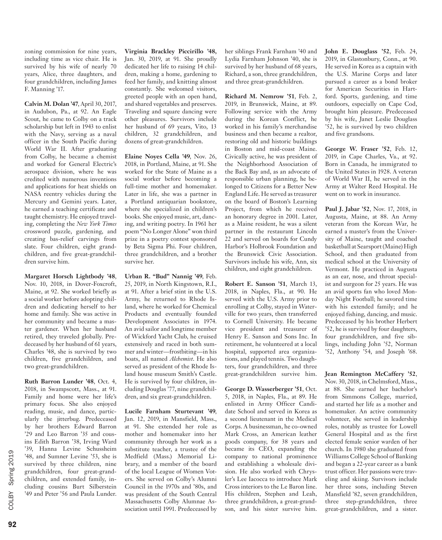zoning commission for nine years, including time as vice chair. He is survived by his wife of nearly 70 years, Alice, three daughters, and four grandchildren, including James F. Manning '17.

**Calvin M. Dolan '47**, April 30, 2017, in Audubon, Pa., at 92. An Eagle Scout, he came to Colby on a track scholarship but left in 1943 to enlist with the Navy, serving as a naval officer in the South Pacific during World War II. After graduating from Colby, he became a chemist and worked for General Electric's aerospace division, where he was credited with numerous inventions and applications for heat shields on NASA reentry vehicles during the Mercury and Gemini years. Later, he earned a teaching certificate and taught chemistry. He enjoyed traveling, completing the *New York Times* crossword puzzle, gardening, and creating bas-relief carvings from slate. Four children, eight grandchildren, and five great-grandchildren survive him.

**Margaret Horsch Lightbody '48**, Nov. 10, 2018, in Dover-Foxcroft, Maine, at 92. She worked briefly as a social worker before adopting children and dedicating herself to her home and family. She was active in her community and became a master gardener. When her husband retired, they traveled globally. Predeceased by her husband of 61 years, Charles '48, she is survived by two children, five grandchildren, and two great-grandchildren.

**Ruth Barron Lunder '48**, Oct. 4, 2018, in Swampscott, Mass., at 91. Family and home were her life's primary focus. She also enjoyed reading, music, and dance, particularly the jitterbug. Predeceased by her brothers Edward Barron '29 and Leo Barron '35 and cousins Edith Barron '38, Irving Ward '39, Hanna Levine Schussheim '48, and Sumner Levine '53, she is survived by three children, nine grandchildren, four great-grandchildren, and extended family, including cousins Burt Silberstein '49 and Peter '56 and Paula Lunder.

**Virginia Brackley Piccirillo '48,**  Jan. 30, 2019, at 91. She proudly dedicated her life to raising 14 children, making a home, gardening to feed her family, and knitting almost constantly. She welcomed visitors, greeted people with an open hand, and shared vegetables and preserves. Traveling and square dancing were other pleasures. Survivors include her husband of 69 years, Vito, 13 children, 32 grandchildren, and dozens of great-grandchildren.

**Elaine Noyes Cella '49**, Nov. 26, 2018, in Portland, Maine, at 91. She worked for the State of Maine as a social worker before becoming a full-time mother and homemaker. Later in life, she was a partner in a Portland antiquarian bookstore, where she specialized in children's books. She enjoyed music, art, dancing, and writing poetry. In 1961 her poem "No Longer Alone" won third prize in a poetry contest sponsored by Beta Sigma Phi. Four children, three grandchildren, and a brother survive her.

**Urban R. "Bud" Nannig '49**, Feb. 25, 2019, in North Kingstown, R.I., at 91. After a brief stint in the U.S. Army, he returned to Rhode Island, where he worked for Chemical Products and eventually founded Development Associates in 1974. An avid sailor and longtime member of Wickford Yacht Club, he cruised extensively and raced in both summer and winter—frostbiting—in his boats, all named *Alchemist*. He also served as president of the Rhode Island house museum Smith's Castle. He is survived by four children, including Douglas '77, nine grandchildren, and six great-grandchildren.

**Lucile Farnham Sturtevant '49**, Jan. 12, 2019, in Mansfield, Mass., at 91. She extended her role as mother and homemaker into her community through her work as a substitute teacher, a trustee of the Medfield (Mass.) Memorial Library, and a member of the board of the local League of Women Voters. She served on Colby's Alumni Council in the 1970s and '80s, and was president of the South Central Massachusetts Colby Alumnae Association until 1991. Predeceased by her siblings Frank Farnham '40 and Lydia Farnham Johnson '40, she is survived by her husband of 68 years, Richard, a son, three grandchildren, and three great-grandchildren.

**Richard M. Nemrow '51**, Feb. 2, 2019, in Brunswick, Maine, at 89. Following service with the Army during the Korean Conflict, he worked in his family's merchandise business and then became a realtor, restoring old and historic buildings in Boston and mid-coast Maine. Civically active, he was president of the Neighborhood Association of the Back Bay and, as an advocate of responsible urban planning, he belonged to Citizens for a Better New England Life. He served as treasurer on the board of Boston's Learning Project, from which he received an honorary degree in 2001. Later, as a Maine resident, he was a silent partner in the restaurant Lincoln 22 and served on boards for Cundy Harbor's Holbrook Foundation and the Brunswick Civic Association. Survivors include his wife, Ann, six children, and eight grandchildren.

**Robert E. Sanson '51**, March 13, 2018, in Naples, Fla., at 90. He served with the U.S. Army prior to enrolling at Colby, stayed in Waterville for two years, then transferred to Cornell University. He became vice president and treasurer of Henry E. Sanson and Sons Inc. In retirement, he volunteered at a local hospital, supported area organizations, and played tennis. Two daughters, four grandchildren, and three great-grandchildren survive him.

**George D. Wasserberger '51**, Oct. 5, 2018, in Naples, Fla., at 89. He enlisted in Army Officer Candidate School and served in Korea as a second lieutenant in the Medical Corps. A businessman, he co-owned Mark Cross, an American leather goods company, for 38 years and became its CEO, expanding the company to national prominence and establishing a wholesale division. He also worked with Chrysler's Lee Iacocca to introduce Mark Cross interiors to the Le Baron line. His children, Stephen and Leah, three grandchildren, a great-grandson, and his sister survive him.

**John E. Douglass '52**, Feb. 24, 2019, in Glastonbury, Conn., at 90. He served in Korea as a captain with the U.S. Marine Corps and later pursued a career as a bond broker for American Securities in Hartford. Sports, gardening, and time outdoors, especially on Cape Cod, brought him pleasure. Predeceased by his wife, Janet Leslie Douglass '52, he is survived by two children and five grandsons.

**George W. Fraser '52**, Feb. 12, 2019, in Cape Charles, Va., at 92. Born in Canada, he immigrated to the United States in 1928. A veteran of World War II, he served in the Army at Walter Reed Hospital. He went on to work in insurance.

**Paul J. Jabar '52**, Nov. 17, 2018, in Augusta, Maine, at 88. An Army veteran from the Korean War, he earned a master's from the University of Maine, taught and coached basketball at Searsport (Maine) High School, and then graduated from medical school at the University of Vermont. He practiced in Augusta as an ear, nose, and throat specialist and surgeon for 25 years. He was an avid sports fan who loved Monday Night Football; he savored time with his extended family; and he enjoyed fishing, dancing, and music. Predeceased by his brother Herbert '52, he is survived by four daughters, four grandchildren, and five siblings, including John '52, Norman '52, Anthony '54, and Joseph '68.

**Jean Remington McCaffery '52**, Nov. 30, 2018, in Chelmsford, Mass., at 88. She earned her bachelor's from Simmons College, married, and started her life as a mother and homemaker. An active community volunteer, she served in leadership roles, notably as trustee for Lowell General Hospital and as the first elected female senior warden of her church. In 1980 she graduated from Williams College School of Banking and began a 22-year career as a bank trust officer. Her passions were traveling and skiing. Survivors include her three sons, including Steven Mansfield '82, seven grandchildren, three step-grandchildren, three great-grandchildren, and a sister.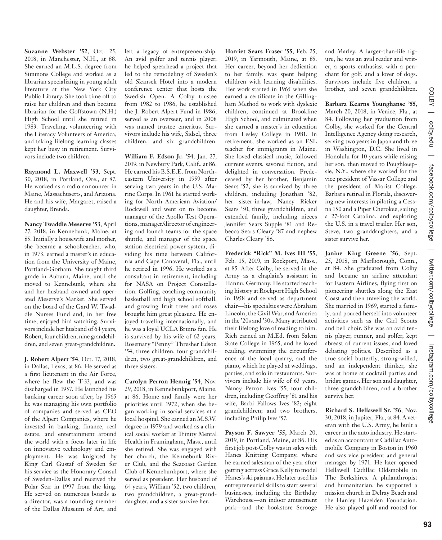**Suzanne Webster '52**, Oct. 25, 2018, in Manchester, N.H., at 88. She earned an M.L.S. degree from Simmons College and worked as a librarian specializing in young adult literature at the New York City Public Library. She took time off to raise her children and then became librarian for the Goffstown (N.H.) High School until she retired in 1983. Traveling, volunteering with the Literacy Volunteers of America, and taking lifelong learning classes kept her busy in retirement. Survivors include two children.

**Raymond L. Maxwell '53**, Sept. 30, 2018, in Portland, Ore., at 87. He worked as a radio announcer in Maine, Massachusetts, and Arizona. He and his wife, Margaret, raised a daughter, Brenda.

**Nancy Twaddle Meserve '53**, April 27, 2018, in Kennebunk, Maine, at 85. Initially a housewife and mother, she became a schoolteacher, who, in 1973, earned a master's in education from the University of Maine, Portland-Gorham. She taught third grade in Auburn, Maine, until she moved to Kennebunk, where she and her husband owned and operated Meserve's Market. She served on the board of the Gard W. Twaddle Nurses Fund and, in her free time, enjoyed bird watching. Survivors include her husband of 64 years, Robert, four children, nine grandchildren, and seven great-grandchildren.

**J. Robert Alpert '54**, Oct. 17, 2018, in Dallas, Texas, at 86. He served as a first lieutenant in the Air Force, where he flew the T-33, and was discharged in 1957. He launched his banking career soon after; by 1965 he was managing his own portfolio of companies and served as CEO of the Alpert Companies, where he invested in banking, finance, real estate, and entertainment around the world with a focus later in life on innovative technology and employment. He was knighted by King Carl Gustaf of Sweden for his service as the Honorary Consul of Sweden-Dallas and received the Polar Star in 1997 from the king. He served on numerous boards as a director, was a founding member of the Dallas Museum of Art, and

left a legacy of entrepreneurship. An avid golfer and tennis player, he helped spearhead a project that led to the remodeling of Sweden's old Skansek Hotel into a modern conference center that hosts the Swedish Open. A Colby trustee from 1982 to 1986, he established the J. Robert Alpert Fund in 1986, served as an overseer, and in 2008 was named trustee emeritus. Survivors include his wife, Sidsel, three children, and six grandchildren.

**William F. Edson Jr. '54**, Jan. 27, 2019, in Newbury Park, Calif., at 86. He earned his B.S.E.E. from Northeastern University in 1959 after serving two years in the U.S. Marine Corps. In 1961 he started working for North American Aviation/ Rockwell and went on to become manager of the Apollo Test Operations, manager/director of engineering and launch teams for the space shuttle, and manager of the space station electrical power system, dividing his time between California and Cape Canaveral, Fla., until he retired in 1996. He worked as a consultant in retirement, including for NASA on Project Constellation. Golfing, coaching community basketball and high school softball, and growing fruit trees and roses brought him great pleasure. He enjoyed traveling internationally, and he was a loyal UCLA Bruins fan. He is survived by his wife of 62 years, Rosemary "Penny" Thresher Edson '54, three children, four grandchildren, two great-grandchildren, and three sisters.

**Carolyn Perron Hennig '54**, Nov. 29, 2018, in Kennebunkport, Maine, at 86. Home and family were her priorities until 1972, when she began working in social services at a local hospital. She earned an M.S.W. degree in 1979 and worked as a clinical social worker at Trinity Mental Health in Framingham, Mass., until she retired. She was engaged with her church, the Kennebunk River Club, and the Seacoast Garden Club of Kennebunkport, where she served as president. Her husband of 64 years, William '52, two children, two grandchildren, a great-granddaughter, and a sister survive her.

**Harriet Sears Fraser '55**, Feb. 25, 2019, in Yarmouth, Maine, at 85. Her career, beyond her dedication to her family, was spent helping children with learning disabilities. Her work started in 1965 when she earned a certificate in the Gillingham Method to work with dyslexic children, continued at Brookline High School, and culminated when she earned a master's in education from Lesley College in 1981. In retirement, she worked as an ESL teacher for immigrants in Maine. She loved classical music, followed current events, savored fiction, and delighted in conversation. Predeceased by her brother, Benjamin Sears '52, she is survived by three children, including Jonathan '82, her sister-in-law, Nancy Ricker Sears '50, three grandchildren, and extended family, including nieces Jennifer Sears Supple '81 and Rebecca Sears Cleary '87 and nephew Charles Cleary '86.

**Frederick "Rick" M. Ives III '55,**  Feb. 15, 2019, in Rockport, Mass., at 85. After Colby, he served in the Army as a chaplain's assistant in Hannu, Germany. He started teaching history at Rockport High School in 1958 and served as department chair—his specialties were Abraham Lincoln, the Civil War, and America in the '20s and '30s. Many attributed their lifelong love of reading to him. Rich earned an M.Ed. from Salem State College in 1965, and he loved reading, swimming the circumference of the local quarry, and the piano, which he played at weddings, parties, and solo in restaurants. Survivors include his wife of 63 years, Nancy Perron Ives '55; four children, including Geoffrey '81 and his wife, Barbi Fallows Ives '82; eight grandchildren; and two brothers, including Philip Ives '57.

**Payson F. Sawyer '55,** March 20, 2019, in Portland, Maine, at 86. His first job post-Colby was in sales with Hanes Knitting Company, where he earned salesman of the year after getting actress Grace Kelly to model Hanes's ski pajamas. He later used his entrepreneurial skills to start several businesses, including the Birthday Warehouse—an indoor amusement park—and the bookstore Scrooge

and Marley. A larger-than-life figure, he was an avid reader and writer, a sports enthusiast with a penchant for golf, and a lover of dogs. Survivors include five children, a brother, and seven grandchildren.

**Barbara Kearns Younghanse '55**,

March 20, 2018, in Venice, Fla., at 84. Following her graduation from Colby, she worked for the Central Intelligence Agency doing research, serving two years in Japan and three in Washington, D.C. She lived in Honolulu for 10 years while raising her son, then moved to Poughkeepsie, N.Y., where she worked for the vice president of Vassar College and the president of Marist College. Barbara retired in Florida, discovering new interests in piloting a Cessna 150 and a Piper Cherokee, sailing a 27-foot Catalina, and exploring the U.S. in a travel trailer. Her son, Steve, two granddaughters, and a sister survive her.

**Janine King Greene '56**, Sept. 25, 2018, in Marlborough, Conn., at 84. She graduated from Colby and became an airline attendant for Eastern Airlines, flying first on pioneering shuttles along the East Coast and then traveling the world. She married in 1969, started a family, and poured herself into volunteer activities such as the Girl Scouts and bell choir. She was an avid tennis player, runner, and golfer, kept abreast of current issues, and loved debating politics. Described as a true social butterfly, strong-willed, and an independent thinker, she was at home at cocktail parties and bridge games. Her son and daughter, three grandchildren, and a brother survive her.

**Richard S. Hellawell Sr. '56**, Nov. 30, 2018, in Jupiter, Fla., at 84. A veteran with the U.S. Army, he built a career in the auto industry. He started as an accountant at Cadillac Automobile Company in Boston in 1960 and was vice president and general manager by 1971. He later opened Hellawell Cadillac Oldsmobile in The Berkshires. A philanthropist and humanitarian, he supported a mission church in Delray Beach and the Hanley Hazelden Foundation. He also played golf and rooted for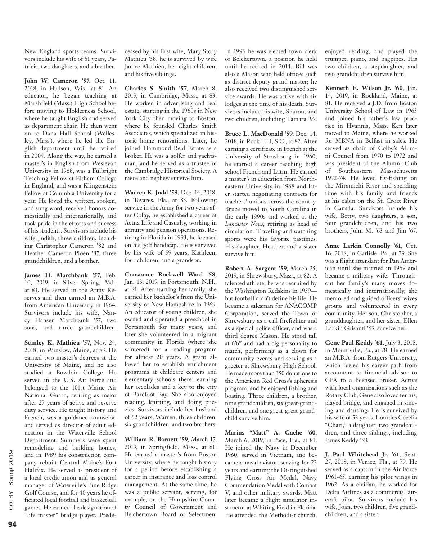New England sports teams. Survivors include his wife of 61 years, Patricia, two daughters, and a brother.

**John W. Cameron '57**, Oct. 11, 2018, in Hudson, Wis., at 81. An educator, he began teaching at Marshfield (Mass.) High School before moving to Holderness School, where he taught English and served as department chair. He then went on to Dana Hall School (Wellesley, Mass.), where he led the English department until he retired in 2004. Along the way, he earned a master's in English from Wesleyan University in 1968, was a Fulbright Teaching Fellow at Eltham College in England, and was a Klingenstein Fellow at Columbia University for a year. He loved the written, spoken, and sung word; received honors domestically and internationally, and took pride in the efforts and success of his students. Survivors include his wife, Judith, three children, including Christopher Cameron '82 and Heather Cameron Ploen '87, three grandchildren, and a brother.

**James H. Marchbank '57**, Feb. 10, 2019, in Silver Spring, Md., at 83. He served in the Army Reserves and then earned an M.B.A. from American University in 1964. Survivors include his wife, Nancy Hansen Marchbank '57, two sons, and three grandchildren.

**Stanley K. Mathieu '57**, Nov. 24, 2018, in Winslow, Maine, at 83. He earned two master's degrees at the University of Maine, and he also studied at Bowdoin College. He served in the U.S. Air Force and belonged to the 101st Maine Air National Guard, retiring as major after 27 years of active and reserve duty service. He taught history and French, was a guidance counselor, and served as director of adult education in the Waterville School Department. Summers were spent remodeling and building homes, and in 1989 his construction company rebuilt Central Maine's Fort Halifax. He served as president of a local credit union and as general manager of Waterville's Pine Ridge Golf Course, and for 40 years he officiated local football and basketball games. He earned the designation of "life master" bridge player. Prede-

ceased by his first wife, Mary Story Mathieu '58, he is survived by wife Janice Mathieu, her eight children, and his five siblings.

**Charles S. Smith '57**, March 8, 2019, in Cambridge, Mass., at 83. He worked in advertising and real estate, starting in the 1960s in New York City then moving to Boston, where he founded Charles Smith Associates, which specialized in historic home renovations. Later, he joined Hammond Real Estate as a broker. He was a golfer and yachtsman, and he served as a trustee of the Cambridge Historical Society. A niece and nephew survive him.

**Warren K. Judd '58**, Dec. 14, 2018, in Tavares, Fla., at 83. Following service in the Army for two years after Colby, he established a career at Aetna Life and Casualty, working in annuity and pension operations. Retiring in Florida in 1993, he focused on his golf handicap. He is survived by his wife of 59 years, Kathleen, four children, and a grandson.

**Constance Rockwell Ward '58**, Jan. 13, 2019, in Portsmouth, N.H., at 81. After starting her family, she earned her bachelor's from the University of New Hampshire in 1969. An educator of young children, she owned and operated a preschool in Portsmouth for many years, and later she volunteered in a migrant community in Florida (where she wintered) for a reading program for almost 20 years. A grant allowed her to establish enrichment programs at childcare centers and elementary schools there, earning her accolades and a key to the city of Barefoot Bay. She also enjoyed reading, knitting, and doing puzzles. Survivors include her husband of 62 years, Warren, three children, six grandchildren, and two brothers.

**William R. Barnett '59**, March 17, 2019, in Springfield, Mass., at 81. He earned a master's from Boston University, where he taught history for a period before establishing a career in insurance and loss control management. At the same time, he was a public servant, serving, for example, on the Hampshire County Council of Government and Belchertown Board of Selectmen. In 1993 he was elected town clerk of Belchertown, a position he held until he retired in 2014. Bill was also a Mason who held offices such as district deputy grand master; he also received two distinguished service awards. He was active with six lodges at the time of his death. Survivors include his wife, Sharon, and two children, including Tamara '97.

**Bruce L. MacDonald '59**, Dec. 14, 2018, in Rock Hill, S.C., at 82. After earning a certificate in French at the University of Strasbourg in 1960, he started a career teaching high school French and Latin. He earned a master's in education from Northeastern University in 1968 and later started negotiating contracts for teachers' unions across the country. Bruce moved to South Carolina in the early 1990s and worked at the *Lancaster News*, retiring as head of circulation. Traveling and watching sports were his favorite pastimes. His daughter, Heather, and a sister survive him.

**Robert A. Sargent '59**, March 25, 2019, in Shrewsbury, Mass., at 82. A talented athlete, he was recruited by the Washington Redskins in 1959 but football didn't define his life. He became a salesman for ANACOMP Corporation, served the Town of Shrewsbury as a call firefighter and as a special police officer, and was a third degree Mason. He stood tall at 6'6" and had a big personality to match, performing as a clown for community events and serving as a greeter at Shrewsbury High School. He made more than 350 donations to the American Red Cross's apheresis program, and he enjoyed fishing and boating. Three children, a brother, nine grandchildren, six great-grandchildren, and one great-great-grandchild survive him.

**Marius "Matt" A. Gache '60**, March 6, 2019, in Pace, Fla., at 81. He joined the Navy in December 1960, served in Vietnam, and became a naval aviator, serving for 22 years and earning the Distinguished Flying Cross Air Medal, Navy Commendation Medal with Combat V, and other military awards. Matt later became a flight simulator instructor at Whiting Field in Florida. He attended the Methodist church,

enjoyed reading, and played the trumpet, piano, and bagpipes. His two children, a stepdaughter, and two grandchildren survive him.

**Kenneth E. Wilson Jr. '60**, Jan. 14, 2019, in Rockland, Maine, at 81. He received a J.D. from Boston University School of Law in 1963 and joined his father's law practice in Hyannis, Mass. Ken later moved to Maine, where he worked for MBNA in Belfast in sales. He served as chair of Colby's Alumni Council from 1970 to 1972 and was president of the Alumni Club of Southeastern Massachusetts 1972-74. He loved fly-fishing on the Miramichi River and spending time with his family and friends at his cabin on the St. Croix River in Canada. Survivors include his wife, Betty, two daughters, a son, four grandchildren, and his two brothers, John M. '63 and Jim '67.

**Anne Larkin Connolly '61**, Oct. 16, 2018, in Carlisle, Pa., at 79. She was a flight attendant for Pan American until she married in 1969 and became a military wife. Throughout her family's many moves domestically and internationally, she mentored and guided officers' wives groups and volunteered in every community. Her son, Christopher, a granddaughter, and her sister, Ellen Larkin Grisanti '63, survive her.

**Gene Paul Keddy '61**, July 3, 2018, in Mountville, Pa., at 78. He earned an M.B.A. from Rutgers University, which fueled his career path from accountant to financial advisor to CPA to a licensed broker. Active with local organizations such as the Rotary Club, Gene also loved tennis, played bridge, and engaged in singing and dancing. He is survived by his wife of 53 years, Lourdes Cecelia "Chari," a daughter, two grandchildren, and three siblings, including James Keddy '58.

**J. Paul Whitehead Jr. '61**, Sept. 27, 2018, in Venice, Fla., at 79. He served as a captain in the Air Force 1961-65, earning his pilot wings in 1962. As a civilian, he worked for Delta Airlines as a commercial aircraft pilot. Survivors include his wife, Joan, two children, five grandchildren, and a sister.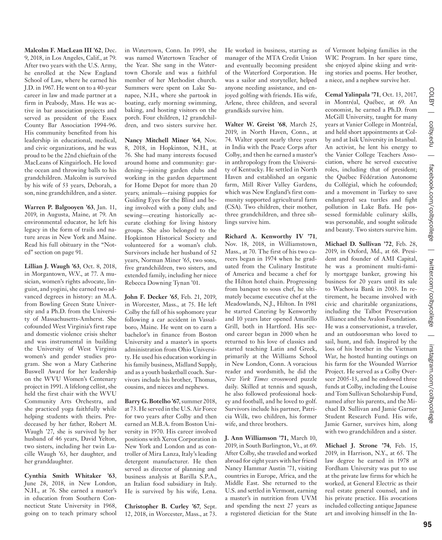**Malcolm F. MacLean III '62**, Dec. 9, 2018, in Los Angeles, Calif., at 79. After two years with the U.S. Army, he enrolled at the New England School of Law, where he earned his J.D. in 1967. He went on to a 40-year career in law and made partner at a firm in Peabody, Mass. He was active in bar association projects and served as president of the Essex County Bar Association 1994-96. His community benefited from his leadership in educational, medical, and civic organizations, and he was proud to be the 22nd chieftain of the MacLeans of Kingairloch. He loved the ocean and throwing balls to his grandchildren. Malcolm is survived by his wife of 53 years, Deborah, a son, nine grandchildren, and a sister. **Warren P. Balgooyen '63**, Jan. 11,

2019, in Augusta, Maine, at 79. An environmental educator, he left his legacy in the form of trails and nature areas in New York and Maine. Read his full obituary in the "Noted" section on page 91.

**Lillian J. Waugh '63**, Oct. 8, 2018, in Morgantown, W.V., at 77. A musician, women's rights advocate, linguist, and yogini, she earned two advanced degrees in history: an M.A. from Bowling Green State University and a Ph.D. from the University of Massachusetts-Amherst. She cofounded West Virginia's first rape and domestic violence crisis shelter and was instrumental in building the University of West Virginia women's and gender studies program. She won a Mary Catherine Buswell Award for her leadership on the WVU Women's Centenary project in 1991. A lifelong cellist, she held the first chair with the WVU Community Arts Orchestra, and she practiced yoga faithfully while helping students with theirs. Predeceased by her father, Robert M. Waugh '27, she is survived by her husband of 46 years, David Yelton, two sisters, including her twin Lucille Waugh '63, her daughter, and her granddaughter.

**Cynthia Smith Whitaker '63**, June 28, 2018, in New London, N.H., at 76. She earned a master's in education from Southern Connecticut State University in 1968, going on to teach primary school in Watertown, Conn. In 1993, she was named Watertown Teacher of the Year. She sang in the Watertown Chorale and was a faithful member of her Methodist church. Summers were spent on Lake Sunapee, N.H., where she partook in boating, early morning swimming, baking, and hosting visitors on the porch. Four children, 12 grandchildren, and two sisters survive her.

**Nancy Mitchell Miner '64**, Nov. 8, 2018, in Hopkinton, N.H., at 76. She had many interests focused around home and community: gardening—joining garden clubs and working in the garden department for Home Depot for more than 20 years; animals—raising puppies for Guiding Eyes for the Blind and being involved with a pony club; and sewing—creating historically accurate clothing for living history groups. She also belonged to the Hopkinton Historical Society and volunteered for a woman's club. Survivors include her husband of 52 years, Norman Miner '65, two sons, five grandchildren, two sisters, and extended family, including her niece Rebecca Downing Tynan '01.

**John F. Decker '65**, Feb. 21, 2019, in Worcester, Mass., at 75. He left Colby the fall of his sophomore year following a car accident in Vassalboro, Maine. He went on to earn a bachelor's in finance from Boston University and a master's in sports administration from Ohio University. He used his education working in his family business, Midland Supply, and as a youth basketball coach. Survivors include his brother, Thomas, cousins, and nieces and nephews.

**Barry G. Botelho '67**, summer 2018, at 73. He served in the U.S. Air Force for two years after Colby and then earned an M.B.A. from Boston University in 1970. His career involved positions with Xerox Corporation in New York and London and as controller of Mira Lanza, Italy's leading detergent manufacturer. He then served as director of planning and business analysis at Barilla S.P.A., an Italian food subsidiary in Italy. He is survived by his wife, Lena.

**Christopher B. Curley '67**, Sept. 12, 2018, in Worcester, Mass., at 73.

He worked in business, starting as manager of the MTA Credit Union and eventually becoming president of the Waterford Corporation. He was a sailor and storyteller, helped anyone needing assistance, and enjoyed golfing with friends. His wife, Arlene, three children, and several grandkids survive him.

**Walter W. Greist '68**, March 25, 2019, in North Haven, Conn., at 74. Walter spent nearly three years in India with the Peace Corps after Colby, and then he earned a master's in anthropology from the University of Kentucky. He settled in North Haven and established an organic farm, Mill River Valley Gardens, which was New England's first community supported agricultural farm (CSA). Two children, their mother, three grandchildren, and three siblings survive him.

**Richard A. Kenworthy IV '71**, Nov. 18, 2018, in Williamstown, Mass., at 70. The first of his two careers began in 1974 when he graduated from the Culinary Institute of America and became a chef for the Hilton hotel chain. Progressing from banquet to sous chef, he ultimately became executive chef at the Meadowlands, N.J., Hilton. In 1981 he started Catering by Kenworthy and 10 years later opened Amarillo Grill, both in Hartford. His second career began in 2000 when he returned to his love of classics and started teaching Latin and Greek, primarily at the Williams School in New London, Conn. A voracious reader and wordsmith, he did the *New York Times* crossword puzzle daily. Skilled at tennis and squash, he also followed professional hockey and football, and he loved to golf. Survivors include his partner, Patricia Wilk, two children, his former wife, and three brothers.

**J. Ann Williamson '71,** March 10, 2019, in South Burlington, Vt., at 69. After Colby, she traveled and worked abroad for eight years with her friend Nancy Hammar Austin '71, visiting countries in Europe, Africa, and the Middle East. She returned to the U.S. and settled in Vermont, earning a master's in nutrition from UVM and spending the next 27 years as a registered dietician for the State

of Vermont helping families in the WIC Program. In her spare time, she enjoyed alpine skiing and writing stories and poems. Her brother, a niece, and a nephew survive her.

**Cemal Yalinpala '71**, Oct. 13, 2017, in Montréal, Québec, at 69. An economist, he earned a Ph.D. from McGill University, taught for many years at Vanier College in Montréal, and held short appointments at Colby and at Isik University in Istanbul. An activist, he lent his energy to the Vanier College Teachers Association, where he served executive roles, including that of president; the Québec Fédération Autonome du Collégial, which he cofounded; and a movement in Turkey to save endangered sea turtles and fight pollution in Lake Bafa. He possessed formidable culinary skills, was personable, and sought solitude and beauty. Two sisters survive him.

**Michael D. Sullivan '72**, Feb. 28, 2019, in Oxford, Md., at 68. President and founder of AMI Capital, he was a prominent multi-family mortgage banker, growing his business for 20 years until its sale to Wachovia Bank in 2003. In retirement, he became involved with civic and charitable organizations, including the Talbot Preservation Alliance and the Avalon Foundation. He was a conservationist, a traveler, and an outdoorsman who loved to sail, hunt, and fish. Inspired by the loss of his brother in the Vietnam War, he hosted hunting outings on his farm for the Wounded Warrior Project. He served as a Colby Overseer 2005-13, and he endowed three funds at Colby, including the Louise and Tom Sullivan Scholarship Fund, named after his parents, and the Michael D. Sullivan and Jamie Garner Student Research Fund. His wife, Jamie Garner, survives him, along with two grandchildren and a sister.

**Michael J. Strone '74**, Feb. 15, 2019, in Harrison, N.Y., at 65. The law degree he earned in 1978 at Fordham University was put to use at the private law firms for which he worked, at General Electric as their real estate general counsel, and in his private practice. His avocations included collecting antique Japanese art and involving himself in the InCOLBY

colby.edu